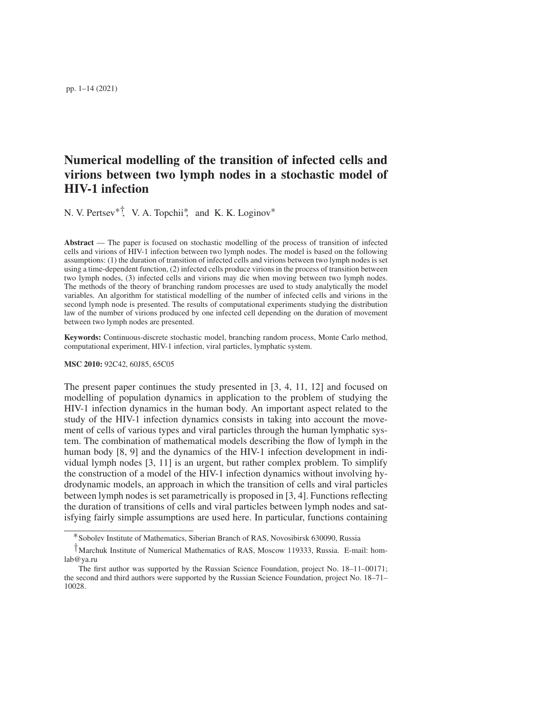pp. 1–14 (2021)

# Numerical modelling of the transition of infected cells and virions between two lymph nodes in a stochastic model of HIV-1 infection

N. V. Pertsev<sup>∗†</sup>, V. A. Topchii<sup>\*</sup>, and K. K. Loginov<sup>\*</sup>

Abstract — The paper is focused on stochastic modelling of the process of transition of infected cells and virions of HIV-1 infection between two lymph nodes. The model is based on the following assumptions: (1) the duration of transition of infected cells and virions between two lymph nodes is set using a time-dependent function, (2) infected cells produce virions in the process of transition between two lymph nodes, (3) infected cells and virions may die when moving between two lymph nodes. The methods of the theory of branching random processes are used to study analytically the model variables. An algorithm for statistical modelling of the number of infected cells and virions in the second lymph node is presented. The results of computational experiments studying the distribution law of the number of virions produced by one infected cell depending on the duration of movement between two lymph nodes are presented.

Keywords: Continuous-discrete stochastic model, branching random process, Monte Carlo method, computational experiment, HIV-1 infection, viral particles, lymphatic system.

#### MSC 2010: 92C42, 60J85, 65C05

The present paper continues the study presented in [3, 4, 11, 12] and focused on modelling of population dynamics in application to the problem of studying the HIV-1 infection dynamics in the human body. An important aspect related to the study of the HIV-1 infection dynamics consists in taking into account the movement of cells of various types and viral particles through the human lymphatic system. The combination of mathematical models describing the flow of lymph in the human body [8, 9] and the dynamics of the HIV-1 infection development in individual lymph nodes [3, 11] is an urgent, but rather complex problem. To simplify the construction of a model of the HIV-1 infection dynamics without involving hydrodynamic models, an approach in which the transition of cells and viral particles between lymph nodes is set parametrically is proposed in [3, 4]. Functions reflecting the duration of transitions of cells and viral particles between lymph nodes and satisfying fairly simple assumptions are used here. In particular, functions containing

<sup>∗</sup>Sobolev Institute of Mathematics, Siberian Branch of RAS, Novosibirsk 630090, Russia

<sup>†</sup>Marchuk Institute of Numerical Mathematics of RAS, Moscow 119333, Russia. E-mail: homlab@ya.ru

The first author was supported by the Russian Science Foundation, project No. 18–11–00171; the second and third authors were supported by the Russian Science Foundation, project No. 18–71– 10028.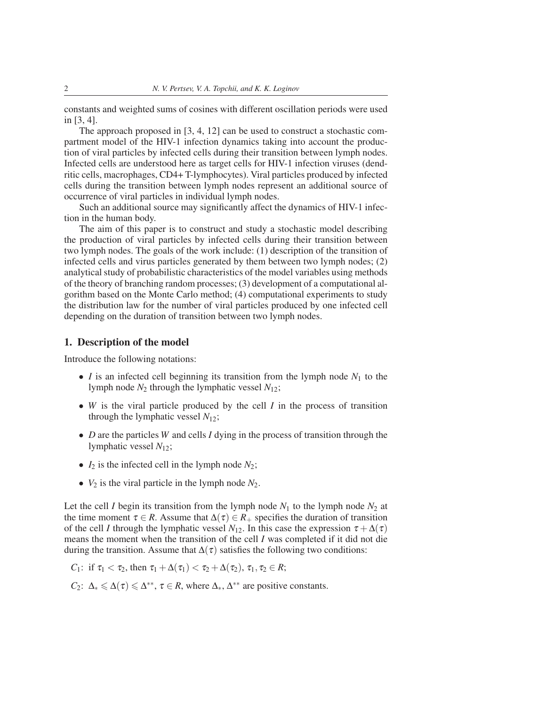constants and weighted sums of cosines with different oscillation periods were used in [3, 4].

The approach proposed in [3, 4, 12] can be used to construct a stochastic compartment model of the HIV-1 infection dynamics taking into account the production of viral particles by infected cells during their transition between lymph nodes. Infected cells are understood here as target cells for HIV-1 infection viruses (dendritic cells, macrophages, CD4+ T-lymphocytes). Viral particles produced by infected cells during the transition between lymph nodes represent an additional source of occurrence of viral particles in individual lymph nodes.

Such an additional source may significantly affect the dynamics of HIV-1 infection in the human body.

The aim of this paper is to construct and study a stochastic model describing the production of viral particles by infected cells during their transition between two lymph nodes. The goals of the work include: (1) description of the transition of infected cells and virus particles generated by them between two lymph nodes; (2) analytical study of probabilistic characteristics of the model variables using methods of the theory of branching random processes; (3) development of a computational algorithm based on the Monte Carlo method; (4) computational experiments to study the distribution law for the number of viral particles produced by one infected cell depending on the duration of transition between two lymph nodes.

### 1. Description of the model

Introduce the following notations:

- *I* is an infected cell beginning its transition from the lymph node  $N_1$  to the lymph node *N*<sup>2</sup> through the lymphatic vessel *N*12;
- *W* is the viral particle produced by the cell *I* in the process of transition through the lymphatic vessel  $N_{12}$ ;
- *D* are the particles *W* and cells *I* dying in the process of transition through the lymphatic vessel *N*12;
- $I_2$  is the infected cell in the lymph node  $N_2$ ;
- $V_2$  is the viral particle in the lymph node  $N_2$ .

Let the cell *I* begin its transition from the lymph node  $N_1$  to the lymph node  $N_2$  at the time moment  $\tau \in R$ . Assume that  $\Delta(\tau) \in R_+$  specifies the duration of transition of the cell *I* through the lymphatic vessel  $N_{12}$ . In this case the expression  $\tau + \Delta(\tau)$ means the moment when the transition of the cell *I* was completed if it did not die during the transition. Assume that  $\Delta(\tau)$  satisfies the following two conditions:

*C*<sub>1</sub>: if  $\tau_1 < \tau_2$ , then  $\tau_1 + \Delta(\tau_1) < \tau_2 + \Delta(\tau_2)$ ,  $\tau_1, \tau_2 \in R$ ;

*C*<sub>2</sub>:  $\Delta_* \le \Delta(\tau) \le \Delta^{**}, \tau \in \mathbb{R}$ , where  $\Delta_*$ ,  $\Delta^{**}$  are positive constants.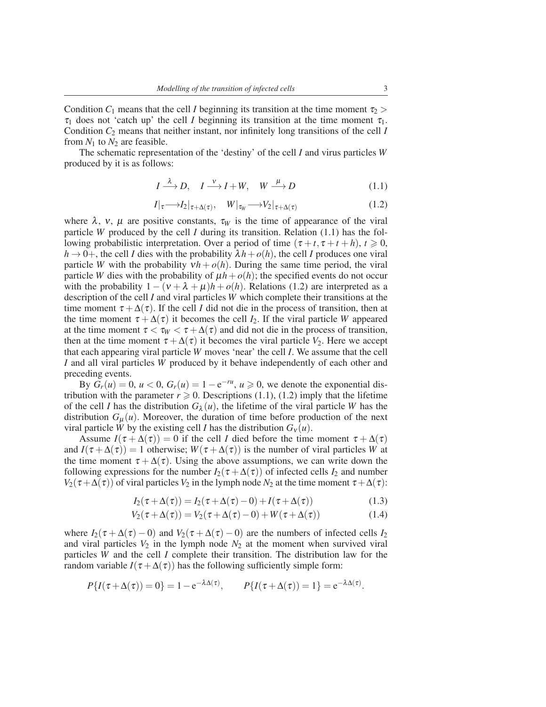Condition  $C_1$  means that the cell *I* beginning its transition at the time moment  $\tau_2$  $\tau_1$  does not 'catch up' the cell *I* beginning its transition at the time moment  $\tau_1$ . Condition *C*<sup>2</sup> means that neither instant, nor infinitely long transitions of the cell *I* from  $N_1$  to  $N_2$  are feasible.

The schematic representation of the 'destiny' of the cell *I* and virus particles *W* produced by it is as follows:

$$
I \xrightarrow{\lambda} D, \quad I \xrightarrow{\nu} I + W, \quad W \xrightarrow{\mu} D \tag{1.1}
$$

$$
I|_{\tau} \longrightarrow I_2|_{\tau + \Delta(\tau)}, \quad W|_{\tau_W} \longrightarrow V_2|_{\tau + \Delta(\tau)} \tag{1.2}
$$

where  $\lambda$ ,  $\nu$ ,  $\mu$  are positive constants,  $\tau_W$  is the time of appearance of the viral particle *W* produced by the cell *I* during its transition. Relation  $(1.1)$  has the following probabilistic interpretation. Over a period of time  $(\tau + t, \tau + t + h), t \ge 0$ ,  $h \rightarrow 0^+$ , the cell *I* dies with the probability  $\lambda h + o(h)$ , the cell *I* produces one viral particle *W* with the probability  $vh + o(h)$ . During the same time period, the viral particle *W* dies with the probability of  $\mu h + o(h)$ ; the specified events do not occur with the probability  $1 - (v + \lambda + \mu)h + o(h)$ . Relations (1.2) are interpreted as a description of the cell *I* and viral particles *W* which complete their transitions at the time moment  $\tau + \Delta(\tau)$ . If the cell *I* did not die in the process of transition, then at the time moment  $\tau + \Delta(\tau)$  it becomes the cell *I*<sub>2</sub>. If the viral particle *W* appeared at the time moment  $\tau < \tau_W < \tau + \Delta(\tau)$  and did not die in the process of transition, then at the time moment  $\tau + \Delta(\tau)$  it becomes the viral particle *V*<sub>2</sub>. Here we accept that each appearing viral particle *W* moves 'near' the cell *I*. We assume that the cell *I* and all viral particles *W* produced by it behave independently of each other and preceding events.

By  $\tilde{G}_r(u) = 0$ ,  $u < 0$ ,  $G_r(u) = 1 - e^{-ru}$ ,  $u \ge 0$ , we denote the exponential distribution with the parameter  $r \geqslant 0$ . Descriptions (1.1), (1.2) imply that the lifetime of the cell *I* has the distribution  $G_{\lambda}(u)$ , the lifetime of the viral particle *W* has the distribution  $G_{\mu}(u)$ . Moreover, the duration of time before production of the next viral particle *W* by the existing cell *I* has the distribution  $G_v(u)$ .

Assume  $I(\tau + \Delta(\tau)) = 0$  if the cell *I* died before the time moment  $\tau + \Delta(\tau)$ and  $I(\tau + \Delta(\tau)) = 1$  otherwise;  $W(\tau + \Delta(\tau))$  is the number of viral particles *W* at the time moment  $\tau + \Delta(\tau)$ . Using the above assumptions, we can write down the following expressions for the number  $I_2(\tau + \Delta(\tau))$  of infected cells  $I_2$  and number *V*<sub>2</sub>( $\tau + \Delta(\tau)$ ) of viral particles *V*<sub>2</sub> in the lymph node *N*<sub>2</sub> at the time moment  $\tau + \Delta(\tau)$ :

$$
I_2(\tau + \Delta(\tau)) = I_2(\tau + \Delta(\tau) - 0) + I(\tau + \Delta(\tau))
$$
\n(1.3)

$$
V_2(\tau + \Delta(\tau)) = V_2(\tau + \Delta(\tau) - 0) + W(\tau + \Delta(\tau))
$$
\n(1.4)

.

where  $I_2(\tau + \Delta(\tau) - 0)$  and  $V_2(\tau + \Delta(\tau) - 0)$  are the numbers of infected cells  $I_2$ and viral particles  $V_2$  in the lymph node  $N_2$  at the moment when survived viral particles *W* and the cell *I* complete their transition. The distribution law for the random variable  $I(\tau + \Delta(\tau))$  has the following sufficiently simple form:

$$
P\{I(\tau + \Delta(\tau)) = 0\} = 1 - e^{-\lambda \Delta(\tau)}, \qquad P\{I(\tau + \Delta(\tau)) = 1\} = e^{-\lambda \Delta(\tau)}
$$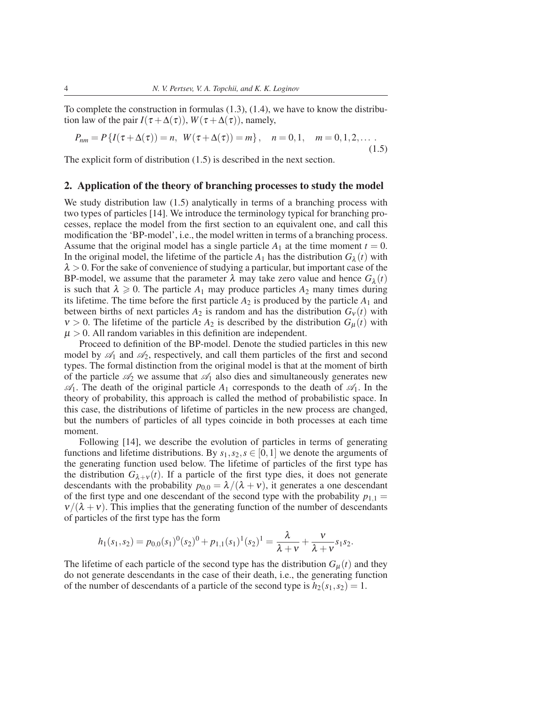To complete the construction in formulas  $(1.3)$ ,  $(1.4)$ , we have to know the distribution law of the pair  $I(\tau + \Delta(\tau))$ ,  $W(\tau + \Delta(\tau))$ , namely,

$$
P_{nm} = P\{I(\tau + \Delta(\tau)) = n, \ W(\tau + \Delta(\tau)) = m\}, \quad n = 0, 1, \quad m = 0, 1, 2, \dots
$$
\n(1.5)

The explicit form of distribution (1.5) is described in the next section.

#### 2. Application of the theory of branching processes to study the model

We study distribution law  $(1.5)$  analytically in terms of a branching process with two types of particles [14]. We introduce the terminology typical for branching processes, replace the model from the first section to an equivalent one, and call this modification the 'BP-model', i.e., the model written in terms of a branching process. Assume that the original model has a single particle  $A_1$  at the time moment  $t = 0$ . In the original model, the lifetime of the particle  $A_1$  has the distribution  $G_\lambda(t)$  with  $\lambda > 0$ . For the sake of convenience of studying a particular, but important case of the BP-model, we assume that the parameter  $\lambda$  may take zero value and hence  $G_{\lambda}(t)$ is such that  $\lambda \geq 0$ . The particle  $A_1$  may produce particles  $A_2$  many times during its lifetime. The time before the first particle  $A_2$  is produced by the particle  $A_1$  and between births of next particles  $A_2$  is random and has the distribution  $G_v(t)$  with  $v > 0$ . The lifetime of the particle  $A_2$  is described by the distribution  $G_{\mu}(t)$  with  $\mu > 0$ . All random variables in this definition are independent.

Proceed to definition of the BP-model. Denote the studied particles in this new model by  $\mathscr{A}_1$  and  $\mathscr{A}_2$ , respectively, and call them particles of the first and second types. The formal distinction from the original model is that at the moment of birth of the particle  $\mathcal{A}_2$  we assume that  $\mathcal{A}_1$  also dies and simultaneously generates new  $\mathcal{A}_1$ . The death of the original particle  $A_1$  corresponds to the death of  $\mathcal{A}_1$ . In the theory of probability, this approach is called the method of probabilistic space. In this case, the distributions of lifetime of particles in the new process are changed, but the numbers of particles of all types coincide in both processes at each time moment.

Following [14], we describe the evolution of particles in terms of generating functions and lifetime distributions. By  $s_1, s_2, s \in [0,1]$  we denote the arguments of the generating function used below. The lifetime of particles of the first type has the distribution  $G_{\lambda+\nu}(t)$ . If a particle of the first type dies, it does not generate descendants with the probability  $p_{0,0} = \lambda/(\lambda + v)$ , it generates a one descendant of the first type and one descendant of the second type with the probability  $p_{1,1} =$  $v/(\lambda + v)$ . This implies that the generating function of the number of descendants of particles of the first type has the form

$$
h_1(s_1,s_2)=p_{0,0}(s_1)^0(s_2)^0+p_{1,1}(s_1)^1(s_2)^1=\frac{\lambda}{\lambda+\nu}+\frac{\nu}{\lambda+\nu}s_1s_2.
$$

The lifetime of each particle of the second type has the distribution  $G_{\mu}(t)$  and they do not generate descendants in the case of their death, i.e., the generating function of the number of descendants of a particle of the second type is  $h_2(s_1, s_2) = 1$ .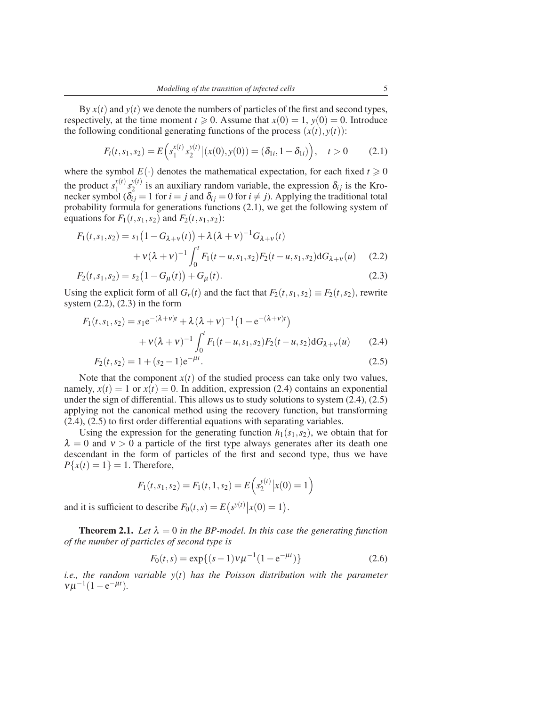By  $x(t)$  and  $y(t)$  we denote the numbers of particles of the first and second types, respectively, at the time moment  $t \ge 0$ . Assume that  $x(0) = 1$ ,  $y(0) = 0$ . Introduce the following conditional generating functions of the process  $(x(t), y(t))$ :

$$
F_i(t, s_1, s_2) = E\left(s_1^{x(t)} s_2^{y(t)} \middle| (x(0), y(0)) = (\delta_{1i}, 1 - \delta_{1i})\right), \quad t > 0 \tag{2.1}
$$

where the symbol  $E(\cdot)$  denotes the mathematical expectation, for each fixed  $t \ge 0$ the product  $s_1^{x(t)}$  $\int_{1}^{x(t)} s_2^{y(t)}$  $\delta_{i}^{(i)}$  is an auxiliary random variable, the expression  $\delta_{i j}$  is the Kronecker symbol ( $\delta_{ij} = 1$  for  $i = j$  and  $\delta_{ij} = 0$  for  $i \neq j$ ). Applying the traditional total probability formula for generations functions (2.1), we get the following system of equations for  $F_1(t, s_1, s_2)$  and  $F_2(t, s_1, s_2)$ :

$$
F_1(t, s_1, s_2) = s_1(1 - G_{\lambda + \nu}(t)) + \lambda(\lambda + \nu)^{-1}G_{\lambda + \nu}(t)
$$
  
+  $\nu(\lambda + \nu)^{-1} \int_0^t F_1(t - u, s_1, s_2) F_2(t - u, s_1, s_2) dG_{\lambda + \nu}(u)$  (2.2)  

$$
F_2(t, s_1, s_2) = s_2(1 - G_{\nu}(t)) + G_{\nu}(t)
$$
 (2.3)

$$
F_2(t, s_1, s_2) = s_2(1 - G_{\mu}(t)) + G_{\mu}(t).
$$
\n(2.3)

Using the explicit form of all  $G_r(t)$  and the fact that  $F_2(t, s_1, s_2) \equiv F_2(t, s_2)$ , rewrite system  $(2.2)$ ,  $(2.3)$  in the form

$$
F_1(t, s_1, s_2) = s_1 e^{-(\lambda + v)t} + \lambda (\lambda + v)^{-1} (1 - e^{-(\lambda + v)t})
$$
  
+  $v(\lambda + v)^{-1} \int_0^t F_1(t - u, s_1, s_2) F_2(t - u, s_2) dG_{\lambda + v}(u)$  (2.4)  

$$
F_2(t, s_2) = 1 + (s_2 - 1)e^{-\mu t}
$$
 (2.5)

$$
F_2(t, s_2) = 1 + (s_2 - 1)e^{-\mu t}.
$$
 (2.5)  
Note that the component  $x(t)$  of the studied process can take only two values,

namely,  $x(t) = 1$  or  $x(t) = 0$ . In addition, expression (2.4) contains an exponential under the sign of differential. This allows us to study solutions to system (2.4), (2.5) applying not the canonical method using the recovery function, but transforming (2.4), (2.5) to first order differential equations with separating variables.

Using the expression for the generating function  $h_1(s_1, s_2)$ , we obtain that for  $\lambda = 0$  and  $v > 0$  a particle of the first type always generates after its death one descendant in the form of particles of the first and second type, thus we have  $P{x(t) = 1} = 1$ . Therefore,

$$
F_1(t, s_1, s_2) = F_1(t, 1, s_2) = E\left(s_2^{y(t)} | x(0) = 1\right)
$$

and it is sufficient to describe  $F_0(t,s) = E(s^{y(t)} | x(0) = 1)$ .

**Theorem 2.1.** Let  $\lambda = 0$  in the BP-model. In this case the generating function *of the number of particles of second type is*

$$
F_0(t,s) = \exp\{(s-1)\nu\mu^{-1}(1 - e^{-\mu t})\}
$$
\n(2.6)

*i.e., the random variable y*(*t*) *has the Poisson distribution with the parameter*  $v\mu^{-1}(1-e^{-\mu t}).$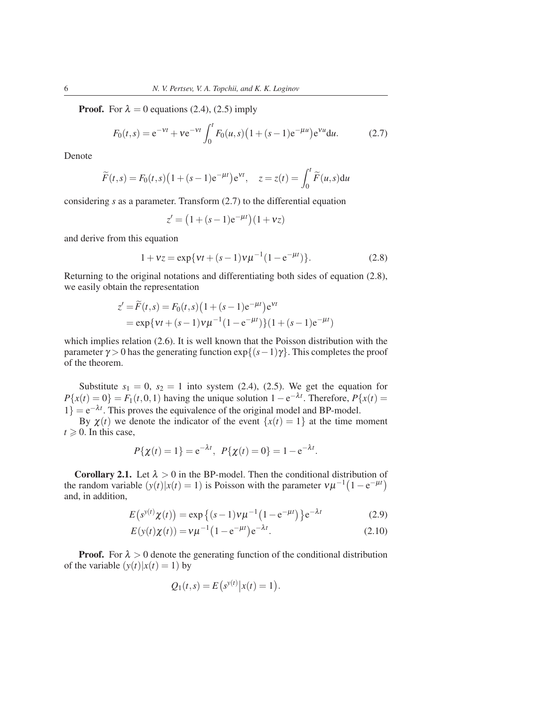**Proof.** For  $\lambda = 0$  equations (2.4), (2.5) imply

$$
F_0(t,s) = e^{-\nu t} + v e^{-\nu t} \int_0^t F_0(u,s) \left(1 + (s-1)e^{-\mu u}\right) e^{\nu u} du.
$$
 (2.7)

Denote

$$
\widetilde{F}(t,s) = F_0(t,s) \left( 1 + (s-1)e^{-\mu t} \right) e^{\nu t}, \quad z = z(t) = \int_0^t \widetilde{F}(u,s) \mathrm{d}u
$$

considering *s* as a parameter. Transform (2.7) to the differential equation

$$
z' = (1 + (s - 1)e^{-\mu t})(1 + vz)
$$

and derive from this equation

$$
1 + vz = \exp\{vt + (s - 1)v\mu^{-1}(1 - e^{-\mu t})\}.
$$
 (2.8)

Returning to the original notations and differentiating both sides of equation (2.8), we easily obtain the representation

$$
z' = \widetilde{F}(t,s) = F_0(t,s) \left( 1 + (s-1)e^{-\mu t} \right) e^{\nu t}
$$
  
=  $\exp \{ \nu t + (s-1) \nu \mu^{-1} (1 - e^{-\mu t}) \} (1 + (s-1)e^{-\mu t})$ 

which implies relation (2.6). It is well known that the Poisson distribution with the parameter  $\gamma > 0$  has the generating function  $\exp\{(s-1)\gamma\}$ . This completes the proof of the theorem.

Substitute  $s_1 = 0$ ,  $s_2 = 1$  into system (2.4), (2.5). We get the equation for  $P{x(t) = 0} = F_1(t, 0, 1)$  having the unique solution  $1 - e^{-\lambda t}$ . Therefore,  $P{x(t) = 0}$  $1$ } =  $e^{-\lambda t}$ . This proves the equivalence of the original model and BP-model.

By  $\chi(t)$  we denote the indicator of the event  $\{x(t) = 1\}$  at the time moment  $t \geqslant 0$ . In this case,

$$
P\{\chi(t) = 1\} = e^{-\lambda t}, P\{\chi(t) = 0\} = 1 - e^{-\lambda t}.
$$

Corollary 2.1. Let  $\lambda > 0$  in the BP-model. Then the conditional distribution of the random variable  $(y(t)|x(t) = 1)$  is Poisson with the parameter  $v\mu^{-1}(1 - e^{-\mu t})$ and, in addition,

$$
E(s^{y(t)}\chi(t)) = \exp\{(s-1)v\mu^{-1}(1-e^{-\mu t})\}e^{-\lambda t}
$$
 (2.9)

$$
E(y(t)\chi(t)) = v\mu^{-1}(1 - e^{-\mu t})e^{-\lambda t}.
$$
 (2.10)

**Proof.** For  $\lambda > 0$  denote the generating function of the conditional distribution of the variable  $(y(t)|x(t) = 1)$  by

$$
Q_1(t,s) = E(s^{y(t)}|x(t) = 1).
$$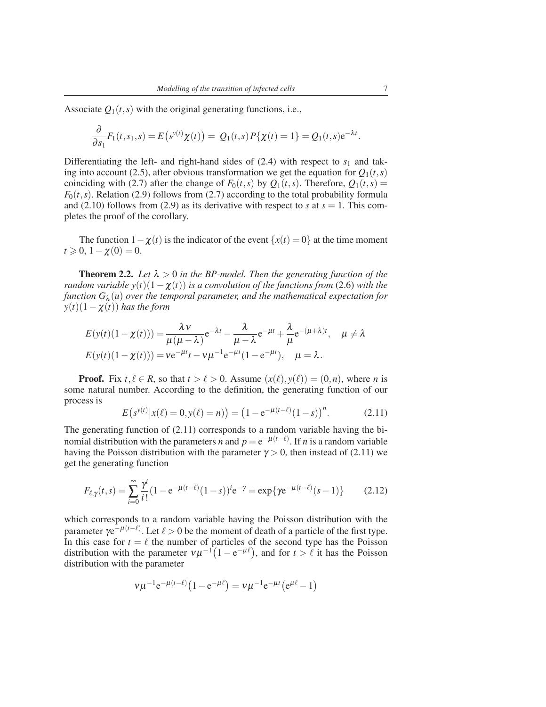Associate  $Q_1(t,s)$  with the original generating functions, i.e.,

$$
\frac{\partial}{\partial s_1}F_1(t,s_1,s) = E(s^{y(t)}\chi(t)) = Q_1(t,s)P\{\chi(t) = 1\} = Q_1(t,s)e^{-\lambda t}.
$$

Differentiating the left- and right-hand sides of  $(2.4)$  with respect to  $s<sub>1</sub>$  and taking into account (2.5), after obvious transformation we get the equation for  $Q_1(t,s)$ coinciding with (2.7) after the change of  $F_0(t,s)$  by  $Q_1(t,s)$ . Therefore,  $Q_1(t,s)$  $F<sub>0</sub>(t, s)$ . Relation (2.9) follows from (2.7) according to the total probability formula and (2.10) follows from (2.9) as its derivative with respect to *s* at  $s = 1$ . This completes the proof of the corollary.

The function  $1-\chi(t)$  is the indicator of the event  $\{x(t) = 0\}$  at the time moment  $t \geqslant 0, 1 - \chi(0) = 0.$ 

**Theorem 2.2.** Let  $\lambda > 0$  in the BP-model. Then the generating function of the *random variable y(t)*(1 -  $\chi(t)$ ) *is a convolution of the functions from* (2.6) *with the function*  $G_{\lambda}(u)$  *over the temporal parameter, and the mathematical expectation for*  $y(t)(1-\chi(t))$  *has the form* 

$$
E(y(t)(1-\chi(t))) = \frac{\lambda v}{\mu(\mu-\lambda)} e^{-\lambda t} - \frac{\lambda}{\mu-\lambda} e^{-\mu t} + \frac{\lambda}{\mu} e^{-(\mu+\lambda)t}, \quad \mu \neq \lambda
$$
  

$$
E(y(t)(1-\chi(t))) = ve^{-\mu t}t - v\mu^{-1}e^{-\mu t}(1 - e^{-\mu t}), \quad \mu = \lambda.
$$

**Proof.** Fix  $t, \ell \in R$ , so that  $t > \ell > 0$ . Assume  $(x(\ell), y(\ell)) = (0, n)$ , where *n* is some natural number. According to the definition, the generating function of our process is

$$
E(s^{y(t)}|x(\ell) = 0, y(\ell) = n) = (1 - e^{-\mu(t-\ell)}(1-s))^n.
$$
 (2.11)

The generating function of (2.11) corresponds to a random variable having the binomial distribution with the parameters *n* and  $p = e^{-\mu(t-\ell)}$ . If *n* is a random variable having the Poisson distribution with the parameter  $\gamma > 0$ , then instead of (2.11) we get the generating function

$$
F_{\ell,\gamma}(t,s) = \sum_{i=0}^{\infty} \frac{\gamma^i}{i!} (1 - e^{-\mu(t-\ell)}(1-s))^i e^{-\gamma} = \exp\{\gamma e^{-\mu(t-\ell)}(s-1)\}
$$
(2.12)

which corresponds to a random variable having the Poisson distribution with the parameter  $\gamma e^{-\mu(t-\ell)}$ . Let  $\ell > 0$  be the moment of death of a particle of the first type. In this case for  $t = \ell$  the number of particles of the second type has the Poisson distribution with the parameter  $v\mu^{-1}(1-e^{-\mu\ell})$ , and for  $t > \ell$  it has the Poisson distribution with the parameter

$$
v\mu^{-1}e^{-\mu(t-\ell)}(1-e^{-\mu\ell}) = v\mu^{-1}e^{-\mu t}(e^{\mu\ell}-1)
$$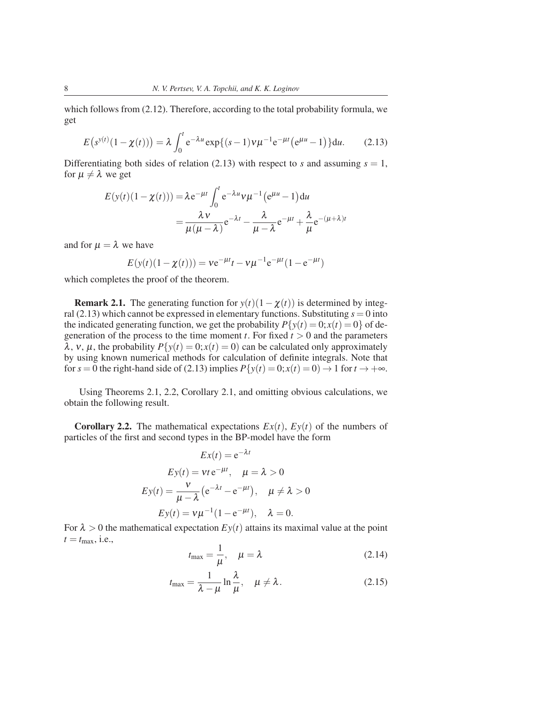which follows from (2.12). Therefore, according to the total probability formula, we get

$$
E(s^{y(t)}(1-\chi(t))) = \lambda \int_0^t e^{-\lambda u} \exp\{(s-1)v\mu^{-1}e^{-\mu t}(e^{\mu u}-1)\} du.
$$
 (2.13)

Differentiating both sides of relation (2.13) with respect to *s* and assuming  $s = 1$ , for  $\mu \neq \lambda$  we get

$$
E(y(t)(1 - \chi(t))) = \lambda e^{-\mu t} \int_0^t e^{-\lambda u} v \mu^{-1} (e^{\mu u} - 1) du
$$
  
= 
$$
\frac{\lambda v}{\mu(\mu - \lambda)} e^{-\lambda t} - \frac{\lambda}{\mu - \lambda} e^{-\mu t} + \frac{\lambda}{\mu} e^{-(\mu + \lambda)t}
$$

and for  $\mu = \lambda$  we have

$$
E(y(t)(1 - \chi(t))) = v e^{-\mu t} t - v \mu^{-1} e^{-\mu t} (1 - e^{-\mu t})
$$

which completes the proof of the theorem.

**Remark 2.1.** The generating function for  $y(t)(1 - \chi(t))$  is determined by integral  $(2.13)$  which cannot be expressed in elementary functions. Substituting  $s = 0$  into the indicated generating function, we get the probability  $P\{y(t) = 0; x(t) = 0\}$  of degeneration of the process to the time moment *t*. For fixed  $t > 0$  and the parameters  $\lambda$ ,  $\nu$ ,  $\mu$ , the probability  $P\{y(t) = 0; x(t) = 0\}$  can be calculated only approximately by using known numerical methods for calculation of definite integrals. Note that for  $s = 0$  the right-hand side of (2.13) implies  $P\{y(t) = 0; x(t) = 0\} \rightarrow 1$  for  $t \rightarrow +\infty$ .

Using Theorems 2.1, 2.2, Corollary 2.1, and omitting obvious calculations, we obtain the following result.

**Corollary 2.2.** The mathematical expectations  $Ex(t)$ ,  $Ey(t)$  of the numbers of particles of the first and second types in the BP-model have the form

$$
Ex(t) = e^{-\lambda t}
$$
  
\n
$$
Ey(t) = vt e^{-\mu t}, \quad \mu = \lambda > 0
$$
  
\n
$$
Ey(t) = \frac{v}{\mu - \lambda} (e^{-\lambda t} - e^{-\mu t}), \quad \mu \neq \lambda > 0
$$
  
\n
$$
Ey(t) = v\mu^{-1}(1 - e^{-\mu t}), \quad \lambda = 0.
$$

For  $\lambda > 0$  the mathematical expectation  $E_y(t)$  attains its maximal value at the point  $t = t_{\text{max}}$ , i.e.,

$$
t_{\max} = \frac{1}{\mu}, \quad \mu = \lambda \tag{2.14}
$$

$$
t_{\max} = \frac{1}{\lambda - \mu} \ln \frac{\lambda}{\mu}, \quad \mu \neq \lambda. \tag{2.15}
$$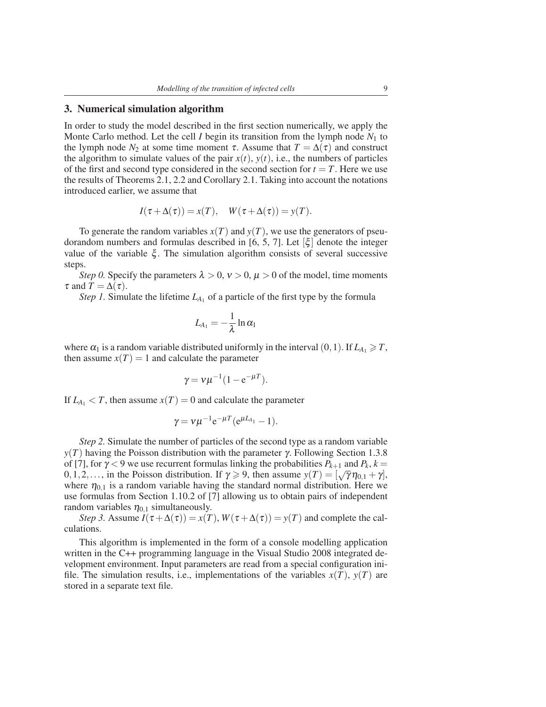### 3. Numerical simulation algorithm

In order to study the model described in the first section numerically, we apply the Monte Carlo method. Let the cell *I* begin its transition from the lymph node  $N_1$  to the lymph node  $N_2$  at some time moment  $\tau$ . Assume that  $T = \Delta(\tau)$  and construct the algorithm to simulate values of the pair  $x(t)$ ,  $y(t)$ , i.e., the numbers of particles of the first and second type considered in the second section for  $t = T$ . Here we use the results of Theorems 2.1, 2.2 and Corollary 2.1. Taking into account the notations introduced earlier, we assume that

$$
I(\tau + \Delta(\tau)) = x(T), \quad W(\tau + \Delta(\tau)) = y(T).
$$

To generate the random variables  $x(T)$  and  $y(T)$ , we use the generators of pseudorandom numbers and formulas described in [6, 5, 7]. Let  $|\xi|$  denote the integer value of the variable  $\xi$ . The simulation algorithm consists of several successive steps.

*Step 0.* Specify the parameters  $\lambda > 0$ ,  $\nu > 0$ ,  $\mu > 0$  of the model, time moments  $\tau$  and  $T = \Delta(\tau)$ .

*Step 1*. Simulate the lifetime  $L_{A_1}$  of a particle of the first type by the formula

$$
L_{A_1} = -\frac{1}{\lambda} \ln \alpha_1
$$

where  $\alpha_1$  is a random variable distributed uniformly in the interval  $(0,1)$ . If  $L_{A_1} \geqslant T$ , then assume  $x(T) = 1$  and calculate the parameter

$$
\gamma = v\mu^{-1}(1 - e^{-\mu T}).
$$

If  $L_{A_1} < T$ , then assume  $x(T) = 0$  and calculate the parameter

$$
\gamma = v\mu^{-1}e^{-\mu T}(e^{\mu L_{A_1}}-1).
$$

*Step 2.* Simulate the number of particles of the second type as a random variable  $y(T)$  having the Poisson distribution with the parameter  $\gamma$ . Following Section 1.3.8 of [7], for  $\gamma$  < 9 we use recurrent formulas linking the probabilities  $P_{k+1}$  and  $P_k$ ,  $k =$  $0,1,2,...$ , in the Poisson distribution. If  $\gamma \ge 9$ , then assume *y*(*T*) = [√ $\overline{\gamma}$ *n*<sub>0,1</sub> + γ], where  $\eta_{0,1}$  is a random variable having the standard normal distribution. Here we use formulas from Section 1.10.2 of [7] allowing us to obtain pairs of independent random variables  $\eta_{0,1}$  simultaneously.

*Step 3.* Assume  $I(\tau + \Delta(\tau)) = x(T)$ ,  $W(\tau + \Delta(\tau)) = y(T)$  and complete the calculations.

This algorithm is implemented in the form of a console modelling application written in the C++ programming language in the Visual Studio 2008 integrated development environment. Input parameters are read from a special configuration inifile. The simulation results, i.e., implementations of the variables  $x(T)$ ,  $y(T)$  are stored in a separate text file.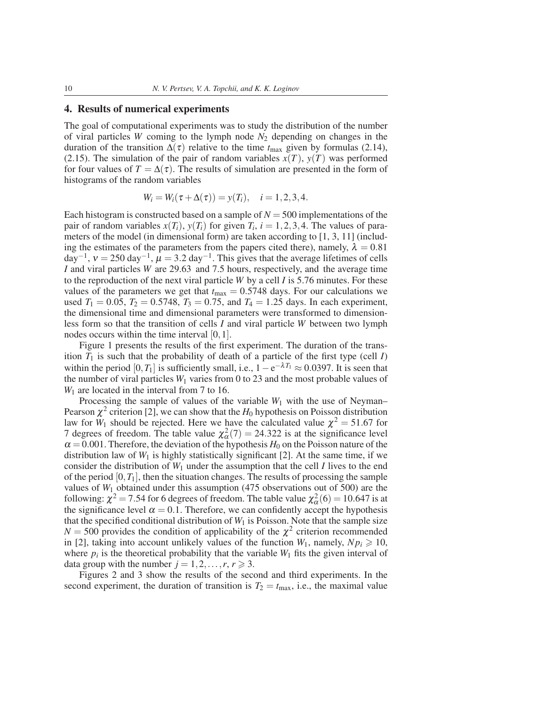## 4. Results of numerical experiments

The goal of computational experiments was to study the distribution of the number of viral particles *W* coming to the lymph node *N*<sup>2</sup> depending on changes in the duration of the transition  $\Delta(\tau)$  relative to the time  $t_{\text{max}}$  given by formulas (2.14), (2.15). The simulation of the pair of random variables  $x(T)$ ,  $y(T)$  was performed for four values of  $T = \Delta(\tau)$ . The results of simulation are presented in the form of histograms of the random variables

$$
W_i = W_i(\tau + \Delta(\tau)) = y(T_i), \quad i = 1, 2, 3, 4.
$$

Each histogram is constructed based on a sample of  $N = 500$  implementations of the pair of random variables  $x(T_i)$ ,  $y(T_i)$  for given  $T_i$ ,  $i = 1, 2, 3, 4$ . The values of parameters of the model (in dimensional form) are taken according to [1, 3, 11] (including the estimates of the parameters from the papers cited there), namely,  $\lambda = 0.81$  $day^{-1}$ ,  $v = 250 \text{ day}^{-1}$ ,  $\mu = 3.2 \text{ day}^{-1}$ . This gives that the average lifetimes of cells *I* and viral particles *W* are 29.63 and 7.5 hours, respectively, and the average time to the reproduction of the next viral particle *W* by a cell *I* is 5.76 minutes. For these values of the parameters we get that  $t_{\text{max}} = 0.5748$  days. For our calculations we used  $T_1 = 0.05$ ,  $T_2 = 0.5748$ ,  $T_3 = 0.75$ , and  $T_4 = 1.25$  days. In each experiment, the dimensional time and dimensional parameters were transformed to dimensionless form so that the transition of cells *I* and viral particle *W* between two lymph nodes occurs within the time interval [0,1].

Figure 1 presents the results of the first experiment. The duration of the transition  $T_1$  is such that the probability of death of a particle of the first type (cell  $I$ ) within the period  $[0, T_1]$  is sufficiently small, i.e.,  $1 - e^{-\lambda T_1} \approx 0.0397$ . It is seen that the number of viral particles  $W_1$  varies from 0 to 23 and the most probable values of *W*<sup>1</sup> are located in the interval from 7 to 16.

Processing the sample of values of the variable  $W_1$  with the use of Neyman– Pearson  $\chi^2$  criterion [2], we can show that the  $H_0$  hypothesis on Poisson distribution law for  $W_1$  should be rejected. Here we have the calculated value  $\chi^2 = 51.67$  for 7 degrees of freedom. The table value  $\chi^2_{\alpha}(7) = 24.322$  is at the significance level  $\alpha = 0.001$ . Therefore, the deviation of the hypothesis  $H_0$  on the Poisson nature of the distribution law of  $W_1$  is highly statistically significant [2]. At the same time, if we consider the distribution of  $W_1$  under the assumption that the cell  $I$  lives to the end of the period  $[0, T_1]$ , then the situation changes. The results of processing the sample values of  $W_1$  obtained under this assumption (475 observations out of 500) are the following:  $\chi^2 = 7.54$  for 6 degrees of freedom. The table value  $\chi^2_{\alpha}(6) = 10.647$  is at the significance level  $\alpha = 0.1$ . Therefore, we can confidently accept the hypothesis that the specified conditional distribution of  $W_1$  is Poisson. Note that the sample size  $N = 500$  provides the condition of applicability of the  $\chi^2$  criterion recommended in [2], taking into account unlikely values of the function  $W_1$ , namely,  $N p_i \geq 10$ , where  $p_i$  is the theoretical probability that the variable  $W_1$  fits the given interval of data group with the number  $j = 1, 2, \ldots, r, r \geq 3$ .

Figures 2 and 3 show the results of the second and third experiments. In the second experiment, the duration of transition is  $T_2 = t_{\text{max}}$ , i.e., the maximal value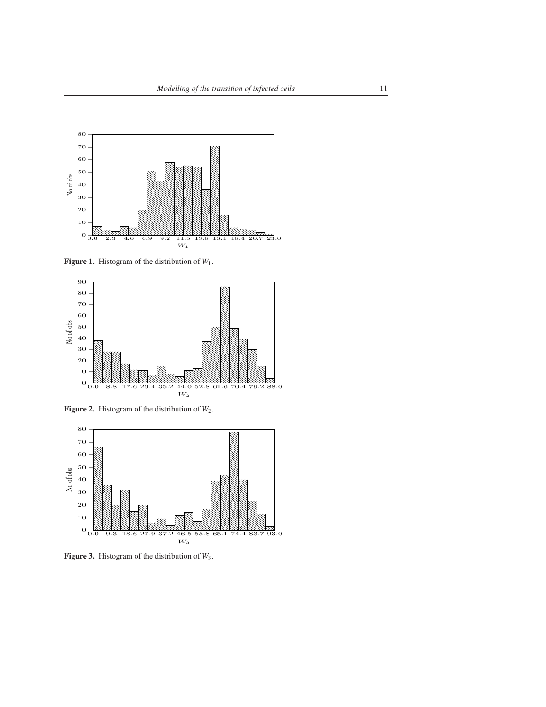

Figure 1. Histogram of the distribution of *W*1.



Figure 2. Histogram of the distribution of *W*2.



Figure 3. Histogram of the distribution of *W*3.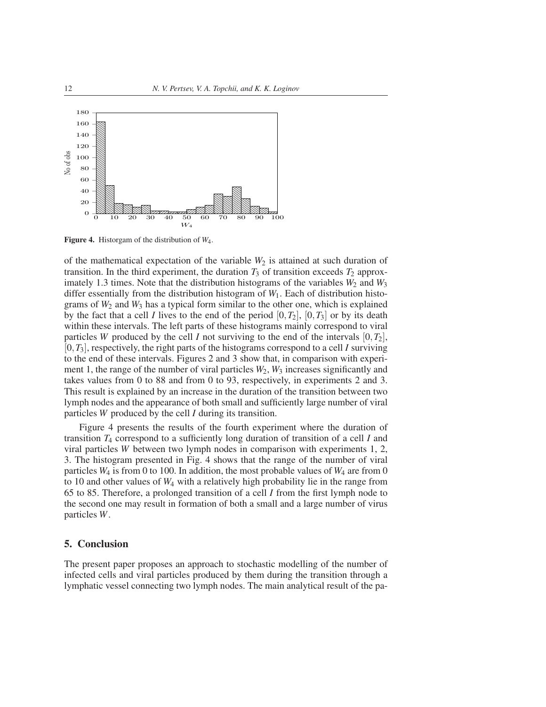

Figure 4. Historgam of the distribution of *W*4.

of the mathematical expectation of the variable  $W_2$  is attained at such duration of transition. In the third experiment, the duration  $T_3$  of transition exceeds  $T_2$  approximately 1.3 times. Note that the distribution histograms of the variables  $W_2$  and  $W_3$ differ essentially from the distribution histogram of *W*1. Each of distribution histograms of *W*<sup>2</sup> and *W*<sup>3</sup> has a typical form similar to the other one, which is explained by the fact that a cell *I* lives to the end of the period  $[0, T_2]$ ,  $[0, T_3]$  or by its death within these intervals. The left parts of these histograms mainly correspond to viral particles *W* produced by the cell *I* not surviving to the end of the intervals  $[0, T_2]$ , [0,*T*3], respectively, the right parts of the histograms correspond to a cell *I* surviving to the end of these intervals. Figures 2 and 3 show that, in comparison with experiment 1, the range of the number of viral particles  $W_2$ ,  $W_3$  increases significantly and takes values from 0 to 88 and from 0 to 93, respectively, in experiments 2 and 3. This result is explained by an increase in the duration of the transition between two lymph nodes and the appearance of both small and sufficiently large number of viral particles *W* produced by the cell *I* during its transition.

Figure 4 presents the results of the fourth experiment where the duration of transition *T*<sup>4</sup> correspond to a sufficiently long duration of transition of a cell *I* and viral particles *W* between two lymph nodes in comparison with experiments 1, 2, 3. The histogram presented in Fig. 4 shows that the range of the number of viral particles *W*<sup>4</sup> is from 0 to 100. In addition, the most probable values of *W*<sup>4</sup> are from 0 to 10 and other values of *W*<sup>4</sup> with a relatively high probability lie in the range from 65 to 85. Therefore, a prolonged transition of a cell *I* from the first lymph node to the second one may result in formation of both a small and a large number of virus particles *W*.

#### 5. Conclusion

The present paper proposes an approach to stochastic modelling of the number of infected cells and viral particles produced by them during the transition through a lymphatic vessel connecting two lymph nodes. The main analytical result of the pa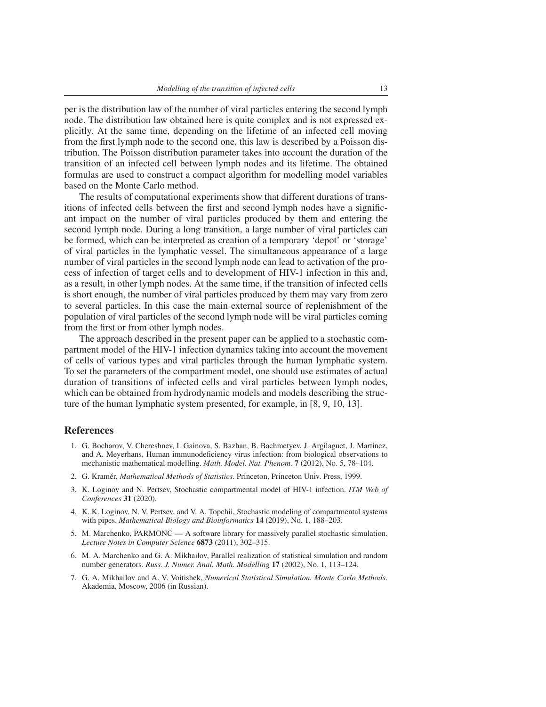per is the distribution law of the number of viral particles entering the second lymph node. The distribution law obtained here is quite complex and is not expressed explicitly. At the same time, depending on the lifetime of an infected cell moving from the first lymph node to the second one, this law is described by a Poisson distribution. The Poisson distribution parameter takes into account the duration of the transition of an infected cell between lymph nodes and its lifetime. The obtained formulas are used to construct a compact algorithm for modelling model variables based on the Monte Carlo method.

The results of computational experiments show that different durations of transitions of infected cells between the first and second lymph nodes have a significant impact on the number of viral particles produced by them and entering the second lymph node. During a long transition, a large number of viral particles can be formed, which can be interpreted as creation of a temporary 'depot' or 'storage' of viral particles in the lymphatic vessel. The simultaneous appearance of a large number of viral particles in the second lymph node can lead to activation of the process of infection of target cells and to development of HIV-1 infection in this and, as a result, in other lymph nodes. At the same time, if the transition of infected cells is short enough, the number of viral particles produced by them may vary from zero to several particles. In this case the main external source of replenishment of the population of viral particles of the second lymph node will be viral particles coming from the first or from other lymph nodes.

The approach described in the present paper can be applied to a stochastic compartment model of the HIV-1 infection dynamics taking into account the movement of cells of various types and viral particles through the human lymphatic system. To set the parameters of the compartment model, one should use estimates of actual duration of transitions of infected cells and viral particles between lymph nodes, which can be obtained from hydrodynamic models and models describing the structure of the human lymphatic system presented, for example, in [8, 9, 10, 13].

#### References

- 1. G. Bocharov, V. Chereshnev, I. Gainova, S. Bazhan, B. Bachmetyev, J. Argilaguet, J. Martinez, and A. Meyerhans, Human immunodeficiency virus infection: from biological observations to mechanistic mathematical modelling. *Math. Model. Nat. Phenom.* 7 (2012), No. 5, 78–104.
- 2. G. Kramér, *Mathematical Methods of Statistics*. Princeton, Princeton Univ. Press, 1999.
- 3. K. Loginov and N. Pertsev, Stochastic compartmental model of HIV-1 infection. *ITM Web of Conferences* 31 (2020).
- 4. K. K. Loginov, N. V. Pertsev, and V. A. Topchii, Stochastic modeling of compartmental systems with pipes. *Mathematical Biology and Bioinformatics* 14 (2019), No. 1, 188–203.
- 5. M. Marchenko, PARMONC A software library for massively parallel stochastic simulation. *Lecture Notes in Computer Science* 6873 (2011), 302–315.
- 6. M. A. Marchenko and G. A. Mikhailov, Parallel realization of statistical simulation and random number generators. *Russ. J. Numer. Anal. Math. Modelling* 17 (2002), No. 1, 113–124.
- 7. G. A. Mikhailov and A. V. Voitishek, *Numerical Statistical Simulation. Monte Carlo Methods*. Akademia, Moscow, 2006 (in Russian).